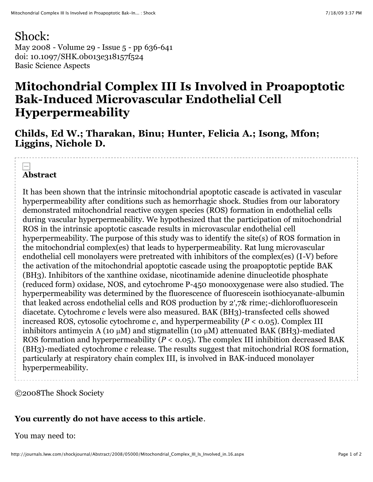## Shock:

May 2008 - Volume 29 - Issue 5 - pp 636-641 doi: 10.1097/SHK.0b013e318157f524 Basic Science Aspects

# **Mitochondrial Complex III Is Involved in Proapoptotic Bak-Induced Microvascular Endothelial Cell Hyperpermeability**

**Childs, Ed W.; Tharakan, Binu; Hunter, Felicia A.; Isong, Mfon; Liggins, Nichole D.**

## **Abstract**

It has been shown that the intrinsic mitochondrial apoptotic cascade is activated in vascular hyperpermeability after conditions such as hemorrhagic shock. Studies from our laboratory demonstrated mitochondrial reactive oxygen species (ROS) formation in endothelial cells during vascular hyperpermeability. We hypothesized that the participation of mitochondrial ROS in the intrinsic apoptotic cascade results in microvascular endothelial cell hyperpermeability. The purpose of this study was to identify the site(s) of ROS formation in the mitochondrial complex(es) that leads to hyperpermeability. Rat lung microvascular endothelial cell monolayers were pretreated with inhibitors of the complex(es) (I-V) before the activation of the mitochondrial apoptotic cascade using the proapoptotic peptide BAK (BH3). Inhibitors of the xanthine oxidase, nicotinamide adenine dinucleotide phosphate (reduced form) oxidase, NOS, and cytochrome P-450 monooxygenase were also studied. The hyperpermeability was determined by the fluorescence of fluorescein isothiocyanate-albumin that leaked across endothelial cells and ROS production by 2′,7& rime;-dichlorofluorescein diacetate. Cytochrome *c* levels were also measured. BAK (BH3)-transfected cells showed increased ROS, cytosolic cytochrome *c*, and hyperpermeability ( $P < 0.05$ ). Complex III inhibitors antimycin A (10  $\mu$ M) and stigmatellin (10  $\mu$ M) attenuated BAK (BH3)-mediated ROS formation and hyperpermeability ( $P < 0.05$ ). The complex III inhibition decreased BAK (BH3)-mediated cytochrome *c* release. The results suggest that mitochondrial ROS formation, particularly at respiratory chain complex III, is involved in BAK-induced monolayer hyperpermeability.

©2008The Shock Society

### **You currently do not have access to this article**.

#### You may need to: